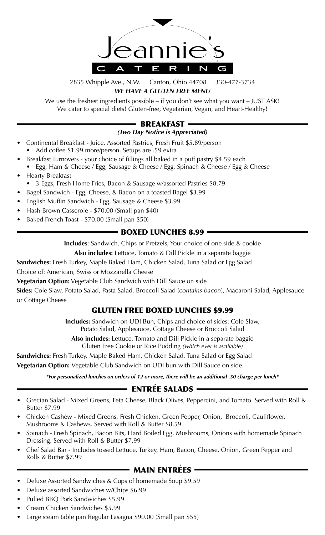

## 2835 Whipple Ave., N.W. Canton, Ohio 44708 330-477-3734 *WE HAVE A GLUTEN FREE MENU*

We use the freshest ingredients possible – if you don't see what you want – JUST ASK! We cater to special diets! Gluten-free, Vegetarian, Vegan, and Heart-Healthy!

# **· BREAKFAST ·**

### *(Two Day Notice is Appreciated)*

- Continental Breakfast Juice, Assorted Pastries, Fresh Fruit \$5.89/person • Add coffee \$1.99 more/person. Setups are .59 extra
- Breakfast Turnovers your choice of fillings all baked in a puff pastry \$4.59 each • Egg, Ham & Cheese / Egg, Sausage & Cheese / Egg, Spinach & Cheese / Egg & Cheese
- Hearty Breakfast
- 3 Eggs, Fresh Home Fries, Bacon & Sausage w/assorted Pastries \$8.79
- Bagel Sandwich Egg, Cheese, & Bacon on a toasted Bagel \$3.99
- English Muffin Sandwich Egg, Sausage & Cheese \$3.99
- Hash Brown Casserole \$70.00 (Small pan \$40)
- Baked French Toast \$70.00 (Small pan \$50)

# **BOXED LUNCHES 8.99 -**

**Includes**: Sandwich, Chips or Pretzels, Your choice of one side & cookie

**Also includes:** Lettuce, Tomato & Dill Pickle in a separate baggie

**Sandwiches:** Fresh Turkey, Maple Baked Ham, Chicken Salad, Tuna Salad or Egg Salad

Choice of: American, Swiss or Mozzarella Cheese

**Vegetarian Option:** Vegetable Club Sandwich with Dill Sauce on side

**Sides:** Cole Slaw, Potato Salad, Pasta Salad, Broccoli Salad (*contains bacon*), Macaroni Salad, Applesauce or Cottage Cheese

# GLUTEN FREE BOXED LUNCHES \$9.99

**Includes:** Sandwich on UDI Bun, Chips and choice of sides: Cole Slaw, Potato Salad, Applesauce, Cottage Cheese or Broccoli Salad

**Also includes:** Lettuce, Tomato and Dill Pickle in a separate baggie Gluten Free Cookie or Rice Pudding *(which ever is available)*

**Sandwiches:** Fresh Turkey, Maple Baked Ham, Chicken Salad, Tuna Salad or Egg Salad **Vegetarian Option:** Vegetable Club Sandwich on UDI bun with Dill Sauce on side.

*\*For personalized lunches on orders of 12 or more, there will be an additional .50 charge per lunch\**

#### **`**ENTREE SALADS

- Grecian Salad Mixed Greens, Feta Cheese, Black Olives, Peppercini, and Tomato. Served with Roll & Butter \$7.99
- Chicken Cashew Mixed Greens, Fresh Chicken, Green Pepper, Onion, Broccoli, Cauliflower, Mushrooms & Cashews. Served with Roll & Butter \$8.59
- Spinach Fresh Spinach, Bacon Bits, Hard Boiled Egg, Mushrooms, Onions with homemade Spinach Dressing. Served with Roll & Butter \$7.99
- Chef Salad Bar Includes tossed Lettuce, Turkey, Ham, Bacon, Cheese, Onion, Green Pepper and Rolls & Butter \$7.99

#### **`**MAIN ENTREES

- Deluxe Assorted Sandwiches & Cups of homemade Soup \$9.59
- Deluxe assorted Sandwiches w/Chips \$6.99
- Pulled BBQ Pork Sandwiches \$5.99
- Cream Chicken Sandwiches \$5.99
- Large steam table pan Regular Lasagna \$90.00 (Small pan \$55)